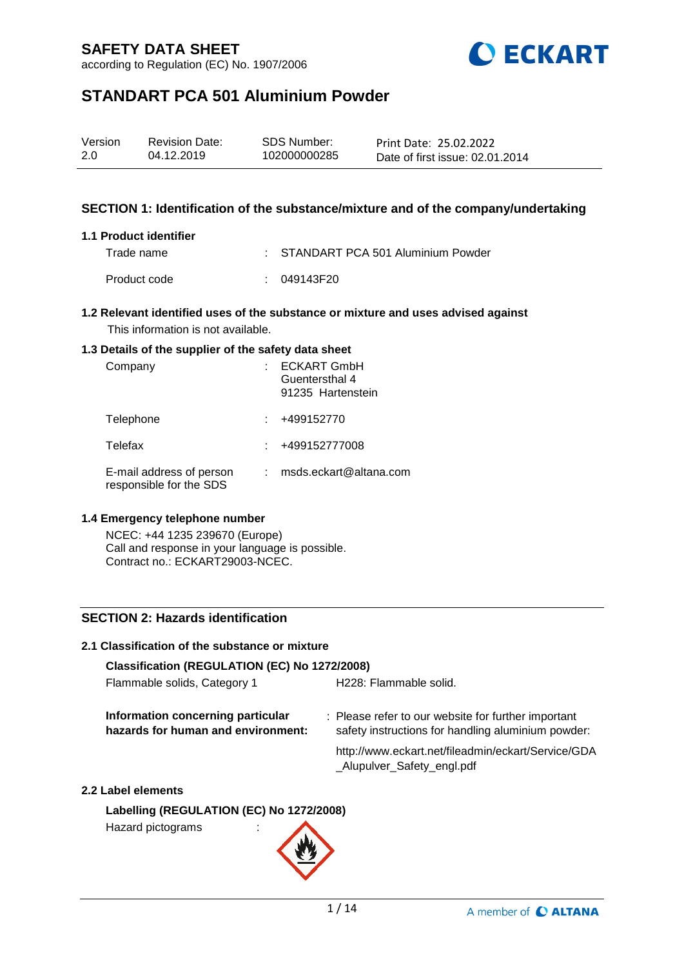according to Regulation (EC) No. 1907/2006



# **STANDART PCA 501 Aluminium Powder**

| Version | <b>Revision Date:</b> | SDS Number:  | Print Date: 25.02.2022          |
|---------|-----------------------|--------------|---------------------------------|
| 2.0     | 04.12.2019            | 102000000285 | Date of first issue: 02.01.2014 |

### **SECTION 1: Identification of the substance/mixture and of the company/undertaking**

#### **1.1 Product identifier**

Trade name : STANDART PCA 501 Aluminium Powder Product code : 049143F20

#### **1.2 Relevant identified uses of the substance or mixture and uses advised against** This information is not available.

#### **1.3 Details of the supplier of the safety data sheet**

| Company                                             | <b>ECKART GmbH</b><br>Guentersthal 4<br>91235 Hartenstein |
|-----------------------------------------------------|-----------------------------------------------------------|
| Telephone                                           | +499152770                                                |
| Telefax                                             | +499152777008                                             |
| E-mail address of person<br>responsible for the SDS | msds.eckart@altana.com                                    |

#### **1.4 Emergency telephone number**

NCEC: +44 1235 239670 (Europe) Call and response in your language is possible. Contract no.: ECKART29003-NCEC.

### **SECTION 2: Hazards identification**

## **2.1 Classification of the substance or mixture Classification (REGULATION (EC) No 1272/2008)** Flammable solids, Category 1 H228: Flammable solid. **Information concerning particular hazards for human and environment:** : Please refer to our website for further important safety instructions for handling aluminium powder: http://www.eckart.net/fileadmin/eckart/Service/GDA \_Alupulver\_Safety\_engl.pdf

#### **2.2 Label elements**

**Labelling (REGULATION (EC) No 1272/2008)** Hazard pictograms :

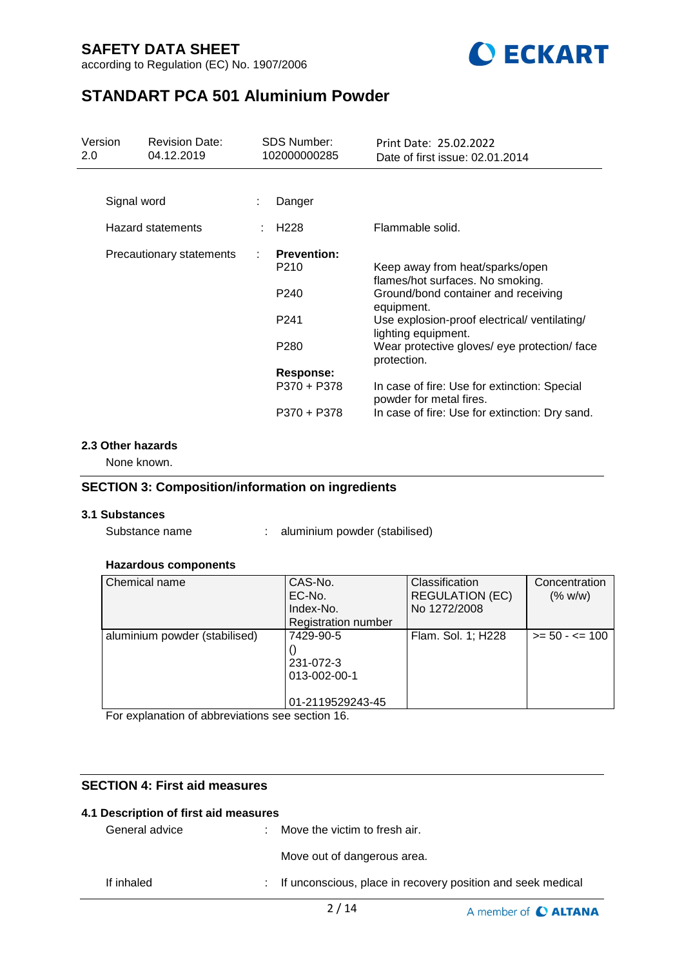according to Regulation (EC) No. 1907/2006



# **STANDART PCA 501 Aluminium Powder**

| Version<br>2.0 | <b>Revision Date:</b><br>04.12.2019 |   | <b>SDS Number:</b><br>102000000285     | Print Date: 25.02.2022<br>Date of first issue: 02.01.2014                             |
|----------------|-------------------------------------|---|----------------------------------------|---------------------------------------------------------------------------------------|
|                |                                     |   |                                        |                                                                                       |
|                | Signal word                         | ÷ | Danger                                 |                                                                                       |
|                | <b>Hazard statements</b>            |   | H <sub>228</sub>                       | Flammable solid.                                                                      |
|                | Precautionary statements            |   | <b>Prevention:</b><br>P <sub>210</sub> | Keep away from heat/sparks/open                                                       |
|                |                                     |   | P <sub>240</sub>                       | flames/hot surfaces. No smoking.<br>Ground/bond container and receiving<br>equipment. |
|                |                                     |   | P <sub>241</sub>                       | Use explosion-proof electrical/ventilating/<br>lighting equipment.                    |
|                |                                     |   | P <sub>280</sub>                       | Wear protective gloves/ eye protection/ face<br>protection.                           |
|                |                                     |   | Response:                              |                                                                                       |
|                |                                     |   | P370 + P378                            | In case of fire: Use for extinction: Special<br>powder for metal fires.               |
|                |                                     |   | P370 + P378                            | In case of fire: Use for extinction: Dry sand.                                        |

#### **2.3 Other hazards**

None known.

### **SECTION 3: Composition/information on ingredients**

#### **3.1 Substances**

Substance name : aluminium powder (stabilised)

#### **Hazardous components**

| Chemical name                 | CAS-No.                    | Classification         | Concentration     |
|-------------------------------|----------------------------|------------------------|-------------------|
|                               | EC-No.                     | <b>REGULATION (EC)</b> | (% w/w)           |
|                               | Index-No.                  | No 1272/2008           |                   |
|                               | <b>Registration number</b> |                        |                   |
| aluminium powder (stabilised) | 7429-90-5                  | Flam. Sol. 1; H228     | $>= 50 - 5 = 100$ |
|                               |                            |                        |                   |
|                               | 231-072-3                  |                        |                   |
|                               | 013-002-00-1               |                        |                   |
|                               |                            |                        |                   |
|                               | 01-2119529243-45           |                        |                   |

For explanation of abbreviations see section 16.

### **SECTION 4: First aid measures**

| 4.1 Description of first aid measures |                                                               |
|---------------------------------------|---------------------------------------------------------------|
| General advice                        | Move the victim to fresh air.                                 |
|                                       | Move out of dangerous area.                                   |
| If inhaled                            | : If unconscious, place in recovery position and seek medical |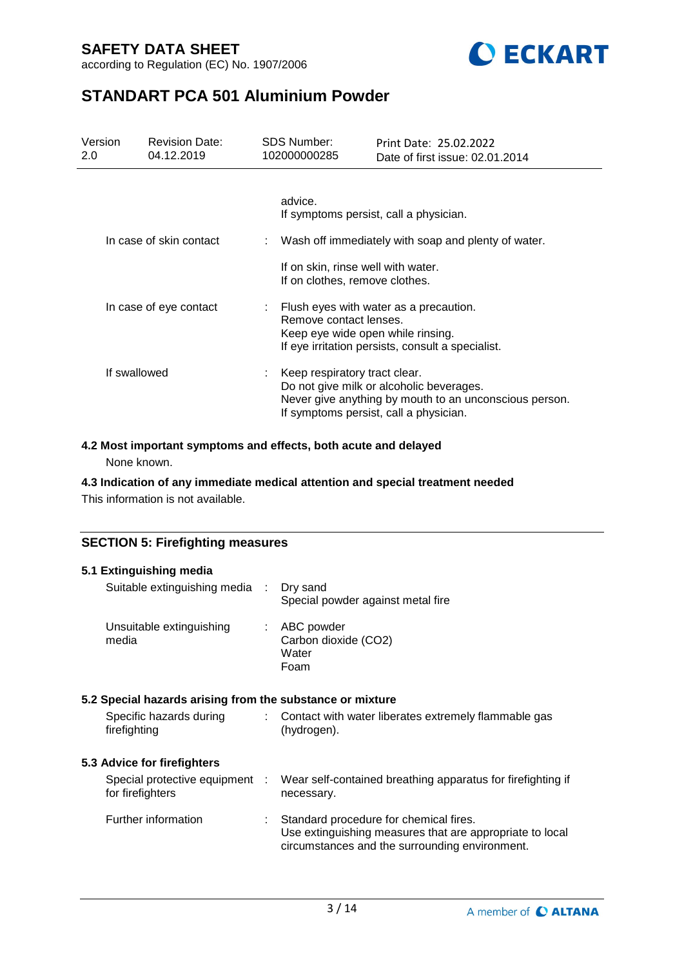according to Regulation (EC) No. 1907/2006



# **STANDART PCA 501 Aluminium Powder**

| Version<br>2.0 | <b>Revision Date:</b><br>04.12.2019 | <b>SDS Number:</b><br>102000000285 | Print Date: 25.02.2022<br>Date of first issue: 02.01.2014                                                                                    |
|----------------|-------------------------------------|------------------------------------|----------------------------------------------------------------------------------------------------------------------------------------------|
|                |                                     | advice.                            | If symptoms persist, call a physician.                                                                                                       |
|                | In case of skin contact             |                                    | Wash off immediately with soap and plenty of water.                                                                                          |
|                |                                     | If on clothes, remove clothes.     | If on skin, rinse well with water.                                                                                                           |
|                | In case of eye contact              | Remove contact lenses.             | Flush eyes with water as a precaution.<br>Keep eye wide open while rinsing.<br>If eye irritation persists, consult a specialist.             |
| If swallowed   |                                     | Keep respiratory tract clear.      | Do not give milk or alcoholic beverages.<br>Never give anything by mouth to an unconscious person.<br>If symptoms persist, call a physician. |

### **4.2 Most important symptoms and effects, both acute and delayed**

None known.

### **4.3 Indication of any immediate medical attention and special treatment needed**

This information is not available.

### **SECTION 5: Firefighting measures**

| 5.1 Extinguishing media                                   |                           |                                                                                                                                                      |
|-----------------------------------------------------------|---------------------------|------------------------------------------------------------------------------------------------------------------------------------------------------|
| Suitable extinguishing media :                            |                           | Dry sand<br>Special powder against metal fire                                                                                                        |
| Unsuitable extinguishing<br>media                         |                           | $\therefore$ ABC powder<br>Carbon dioxide (CO2)<br>Water<br>Foam                                                                                     |
| 5.2 Special hazards arising from the substance or mixture |                           |                                                                                                                                                      |
| Specific hazards during<br>firefighting                   | $\mathbb{R}^{\mathbb{Z}}$ | Contact with water liberates extremely flammable gas<br>(hydrogen).                                                                                  |
| 5.3 Advice for firefighters                               |                           |                                                                                                                                                      |
| Special protective equipment :<br>for firefighters        |                           | Wear self-contained breathing apparatus for firefighting if<br>necessary.                                                                            |
| Further information                                       |                           | Standard procedure for chemical fires.<br>Use extinguishing measures that are appropriate to local<br>circumstances and the surrounding environment. |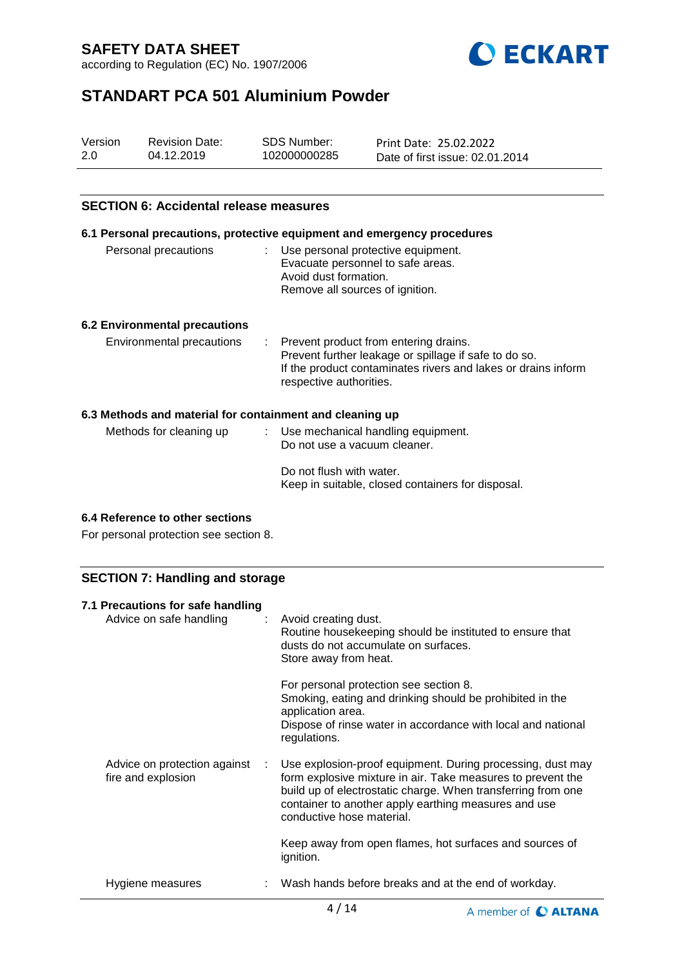according to Regulation (EC) No. 1907/2006



# **STANDART PCA 501 Aluminium Powder**

| Version | <b>Revision Date:</b> | SDS Number:  | Print Date: 25.02.2022          |
|---------|-----------------------|--------------|---------------------------------|
| 2.0     | 04.12.2019            | 102000000285 | Date of first issue: 02.01.2014 |

### **SECTION 6: Accidental release measures**

## **6.1 Personal precautions, protective equipment and emergency procedures** Personal precautions : Use personal protective equipment. Evacuate personnel to safe areas. Avoid dust formation. Remove all sources of ignition. **6.2 Environmental precautions** Environmental precautions : Prevent product from entering drains. Prevent further leakage or spillage if safe to do so. If the product contaminates rivers and lakes or drains inform respective authorities. **6.3 Methods and material for containment and cleaning up** Methods for cleaning up : Use mechanical handling equipment. Do not use a vacuum cleaner.

| Do not flush with water.                          |
|---------------------------------------------------|
| Keep in suitable, closed containers for disposal. |

#### **6.4 Reference to other sections**

For personal protection see section 8.

### **SECTION 7: Handling and storage**

| 7.1 Precautions for safe handling<br>Advice on safe handling<br>÷ | Avoid creating dust.<br>Routine housekeeping should be instituted to ensure that<br>dusts do not accumulate on surfaces.<br>Store away from heat.                                                                                                                              |
|-------------------------------------------------------------------|--------------------------------------------------------------------------------------------------------------------------------------------------------------------------------------------------------------------------------------------------------------------------------|
|                                                                   | For personal protection see section 8.<br>Smoking, eating and drinking should be prohibited in the<br>application area.<br>Dispose of rinse water in accordance with local and national<br>regulations.                                                                        |
| Advice on protection against<br>fire and explosion                | Use explosion-proof equipment. During processing, dust may<br>form explosive mixture in air. Take measures to prevent the<br>build up of electrostatic charge. When transferring from one<br>container to another apply earthing measures and use<br>conductive hose material. |
|                                                                   | Keep away from open flames, hot surfaces and sources of<br>ignition.                                                                                                                                                                                                           |
| Hygiene measures                                                  | Wash hands before breaks and at the end of workday.                                                                                                                                                                                                                            |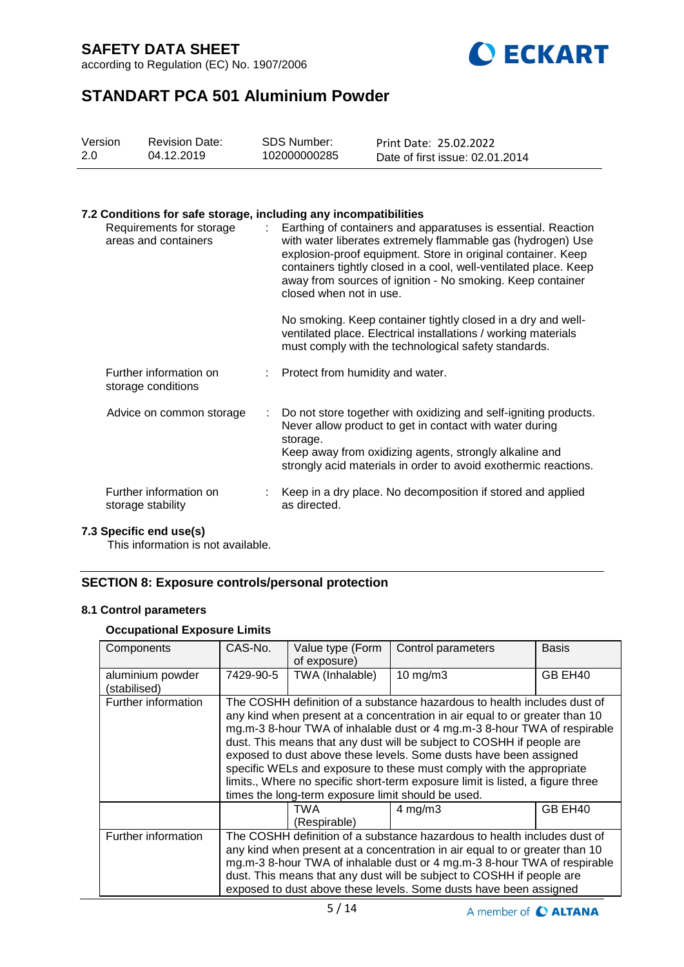according to Regulation (EC) No. 1907/2006



# **STANDART PCA 501 Aluminium Powder**

| Version | <b>Revision Date:</b> | <b>SDS Number:</b> | Print Date: 25.02.2022          |
|---------|-----------------------|--------------------|---------------------------------|
| 2.0     | 04.12.2019            | 102000000285       | Date of first issue: 02.01.2014 |

#### **7.2 Conditions for safe storage, including any incompatibilities**

| Requirements for storage<br>areas and containers |    | Earthing of containers and apparatuses is essential. Reaction<br>with water liberates extremely flammable gas (hydrogen) Use<br>explosion-proof equipment. Store in original container. Keep<br>containers tightly closed in a cool, well-ventilated place. Keep<br>away from sources of ignition - No smoking. Keep container<br>closed when not in use.<br>No smoking. Keep container tightly closed in a dry and well-<br>ventilated place. Electrical installations / working materials |
|--------------------------------------------------|----|---------------------------------------------------------------------------------------------------------------------------------------------------------------------------------------------------------------------------------------------------------------------------------------------------------------------------------------------------------------------------------------------------------------------------------------------------------------------------------------------|
|                                                  |    | must comply with the technological safety standards.                                                                                                                                                                                                                                                                                                                                                                                                                                        |
| Further information on<br>storage conditions     |    | Protect from humidity and water.                                                                                                                                                                                                                                                                                                                                                                                                                                                            |
| Advice on common storage                         | t. | Do not store together with oxidizing and self-igniting products.<br>Never allow product to get in contact with water during<br>storage.<br>Keep away from oxidizing agents, strongly alkaline and<br>strongly acid materials in order to avoid exothermic reactions.                                                                                                                                                                                                                        |
| Further information on<br>storage stability      |    | Keep in a dry place. No decomposition if stored and applied<br>as directed.                                                                                                                                                                                                                                                                                                                                                                                                                 |

#### **7.3 Specific end use(s)**

This information is not available.

### **SECTION 8: Exposure controls/personal protection**

### **8.1 Control parameters**

### **Occupational Exposure Limits**

| Components                       | CAS-No.                                                                                                                                                                                                                                                                                                                                                                           | Value type (Form<br>of exposure)                                                                                                                                                                                                                                                                                                                                                                                                                                                                                                                                                                  | Control parameters | Basis   |
|----------------------------------|-----------------------------------------------------------------------------------------------------------------------------------------------------------------------------------------------------------------------------------------------------------------------------------------------------------------------------------------------------------------------------------|---------------------------------------------------------------------------------------------------------------------------------------------------------------------------------------------------------------------------------------------------------------------------------------------------------------------------------------------------------------------------------------------------------------------------------------------------------------------------------------------------------------------------------------------------------------------------------------------------|--------------------|---------|
| aluminium powder<br>(stabilised) | 7429-90-5                                                                                                                                                                                                                                                                                                                                                                         | TWA (Inhalable)                                                                                                                                                                                                                                                                                                                                                                                                                                                                                                                                                                                   | $10$ mg/m $3$      | GB EH40 |
| Further information              |                                                                                                                                                                                                                                                                                                                                                                                   | The COSHH definition of a substance hazardous to health includes dust of<br>any kind when present at a concentration in air equal to or greater than 10<br>mg.m-3 8-hour TWA of inhalable dust or 4 mg.m-3 8-hour TWA of respirable<br>dust. This means that any dust will be subject to COSHH if people are<br>exposed to dust above these levels. Some dusts have been assigned<br>specific WELs and exposure to these must comply with the appropriate<br>limits., Where no specific short-term exposure limit is listed, a figure three<br>times the long-term exposure limit should be used. |                    |         |
|                                  |                                                                                                                                                                                                                                                                                                                                                                                   | TWA<br>$4 \text{ mg/m}$ 3<br>(Respirable)                                                                                                                                                                                                                                                                                                                                                                                                                                                                                                                                                         |                    | GB EH40 |
| Further information              | The COSHH definition of a substance hazardous to health includes dust of<br>any kind when present at a concentration in air equal to or greater than 10<br>mg.m-3 8-hour TWA of inhalable dust or 4 mg.m-3 8-hour TWA of respirable<br>dust. This means that any dust will be subject to COSHH if people are<br>exposed to dust above these levels. Some dusts have been assigned |                                                                                                                                                                                                                                                                                                                                                                                                                                                                                                                                                                                                   |                    |         |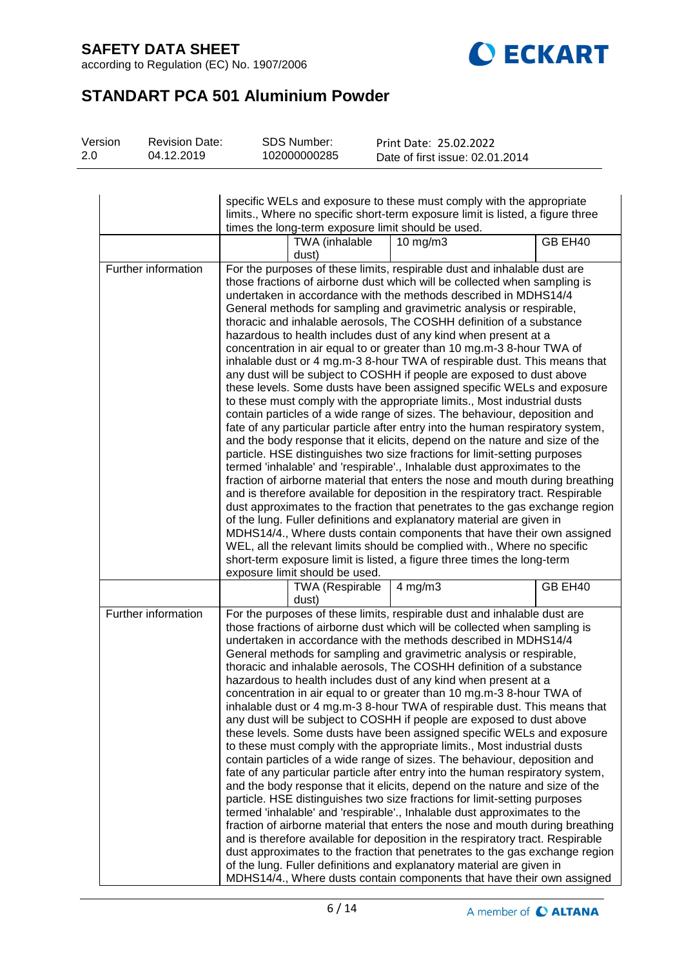according to Regulation (EC) No. 1907/2006



# **STANDART PCA 501 Aluminium Powder**

| Version | <b>Revision Date:</b> | <b>SDS Number:</b> | Print Date: 25.02.2022          |  |
|---------|-----------------------|--------------------|---------------------------------|--|
| 2.0     | 04.12.2019            | 102000000285       | Date of first issue: 02.01.2014 |  |

|                     | specific WELs and exposure to these must comply with the appropriate<br>limits., Where no specific short-term exposure limit is listed, a figure three                                                                                                                                                                                                                                                                                                                                                                                                                                                                                                                                                                                                                                                                                                                                                                                                                                                                                                                                                                                                                                                                                                                                                                                                                                                                                                                                                                                                                                                                                        |         |  |  |
|---------------------|-----------------------------------------------------------------------------------------------------------------------------------------------------------------------------------------------------------------------------------------------------------------------------------------------------------------------------------------------------------------------------------------------------------------------------------------------------------------------------------------------------------------------------------------------------------------------------------------------------------------------------------------------------------------------------------------------------------------------------------------------------------------------------------------------------------------------------------------------------------------------------------------------------------------------------------------------------------------------------------------------------------------------------------------------------------------------------------------------------------------------------------------------------------------------------------------------------------------------------------------------------------------------------------------------------------------------------------------------------------------------------------------------------------------------------------------------------------------------------------------------------------------------------------------------------------------------------------------------------------------------------------------------|---------|--|--|
|                     | times the long-term exposure limit should be used.                                                                                                                                                                                                                                                                                                                                                                                                                                                                                                                                                                                                                                                                                                                                                                                                                                                                                                                                                                                                                                                                                                                                                                                                                                                                                                                                                                                                                                                                                                                                                                                            |         |  |  |
|                     | TWA (inhalable<br>$10$ mg/m $3$<br>dust)                                                                                                                                                                                                                                                                                                                                                                                                                                                                                                                                                                                                                                                                                                                                                                                                                                                                                                                                                                                                                                                                                                                                                                                                                                                                                                                                                                                                                                                                                                                                                                                                      | GB EH40 |  |  |
| Further information | For the purposes of these limits, respirable dust and inhalable dust are<br>those fractions of airborne dust which will be collected when sampling is<br>undertaken in accordance with the methods described in MDHS14/4<br>General methods for sampling and gravimetric analysis or respirable,<br>thoracic and inhalable aerosols, The COSHH definition of a substance<br>hazardous to health includes dust of any kind when present at a<br>concentration in air equal to or greater than 10 mg.m-3 8-hour TWA of<br>inhalable dust or 4 mg.m-3 8-hour TWA of respirable dust. This means that<br>any dust will be subject to COSHH if people are exposed to dust above<br>these levels. Some dusts have been assigned specific WELs and exposure<br>to these must comply with the appropriate limits., Most industrial dusts<br>contain particles of a wide range of sizes. The behaviour, deposition and<br>fate of any particular particle after entry into the human respiratory system,<br>and the body response that it elicits, depend on the nature and size of the<br>particle. HSE distinguishes two size fractions for limit-setting purposes<br>termed 'inhalable' and 'respirable'., Inhalable dust approximates to the<br>fraction of airborne material that enters the nose and mouth during breathing<br>and is therefore available for deposition in the respiratory tract. Respirable<br>dust approximates to the fraction that penetrates to the gas exchange region<br>of the lung. Fuller definitions and explanatory material are given in                                                                           |         |  |  |
|                     | MDHS14/4., Where dusts contain components that have their own assigned<br>WEL, all the relevant limits should be complied with., Where no specific<br>short-term exposure limit is listed, a figure three times the long-term<br>exposure limit should be used.                                                                                                                                                                                                                                                                                                                                                                                                                                                                                                                                                                                                                                                                                                                                                                                                                                                                                                                                                                                                                                                                                                                                                                                                                                                                                                                                                                               |         |  |  |
|                     | 4 mg/m $3$<br><b>TWA (Respirable</b><br>dust)                                                                                                                                                                                                                                                                                                                                                                                                                                                                                                                                                                                                                                                                                                                                                                                                                                                                                                                                                                                                                                                                                                                                                                                                                                                                                                                                                                                                                                                                                                                                                                                                 | GB EH40 |  |  |
| Further information | For the purposes of these limits, respirable dust and inhalable dust are<br>those fractions of airborne dust which will be collected when sampling is<br>undertaken in accordance with the methods described in MDHS14/4<br>General methods for sampling and gravimetric analysis or respirable,<br>thoracic and inhalable aerosols, The COSHH definition of a substance<br>hazardous to health includes dust of any kind when present at a<br>concentration in air equal to or greater than 10 mg.m-3 8-hour TWA of<br>inhalable dust or 4 mg.m-3 8-hour TWA of respirable dust. This means that<br>any dust will be subject to COSHH if people are exposed to dust above<br>these levels. Some dusts have been assigned specific WELs and exposure<br>to these must comply with the appropriate limits., Most industrial dusts<br>contain particles of a wide range of sizes. The behaviour, deposition and<br>fate of any particular particle after entry into the human respiratory system,<br>and the body response that it elicits, depend on the nature and size of the<br>particle. HSE distinguishes two size fractions for limit-setting purposes<br>termed 'inhalable' and 'respirable'., Inhalable dust approximates to the<br>fraction of airborne material that enters the nose and mouth during breathing<br>and is therefore available for deposition in the respiratory tract. Respirable<br>dust approximates to the fraction that penetrates to the gas exchange region<br>of the lung. Fuller definitions and explanatory material are given in<br>MDHS14/4., Where dusts contain components that have their own assigned |         |  |  |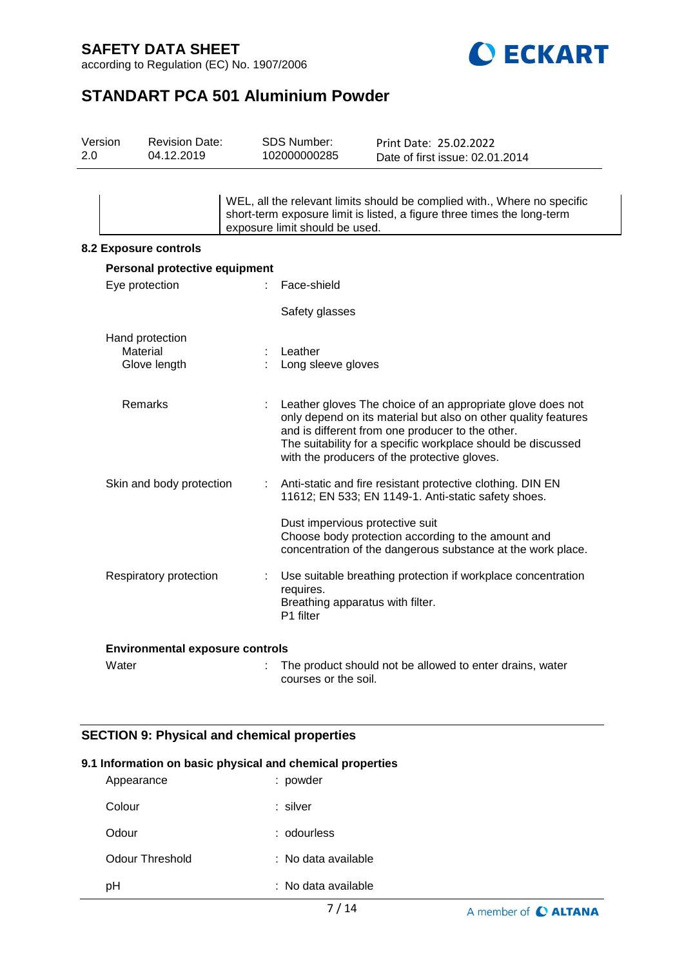according to Regulation (EC) No. 1907/2006



# **STANDART PCA 501 Aluminium Powder**

| <b>Revision Date:</b><br>04.12.2019 |                                                                                                                                    |                                                           | Print Date: 25.02.2022<br>Date of first issue: 02.01.2014                                                                                                                                                                                                                                        |
|-------------------------------------|------------------------------------------------------------------------------------------------------------------------------------|-----------------------------------------------------------|--------------------------------------------------------------------------------------------------------------------------------------------------------------------------------------------------------------------------------------------------------------------------------------------------|
|                                     |                                                                                                                                    |                                                           | WEL, all the relevant limits should be complied with., Where no specific<br>short-term exposure limit is listed, a figure three times the long-term                                                                                                                                              |
|                                     |                                                                                                                                    |                                                           |                                                                                                                                                                                                                                                                                                  |
|                                     |                                                                                                                                    |                                                           |                                                                                                                                                                                                                                                                                                  |
|                                     |                                                                                                                                    | Face-shield                                               |                                                                                                                                                                                                                                                                                                  |
|                                     |                                                                                                                                    |                                                           |                                                                                                                                                                                                                                                                                                  |
|                                     |                                                                                                                                    | Leather                                                   |                                                                                                                                                                                                                                                                                                  |
|                                     |                                                                                                                                    |                                                           | Leather gloves The choice of an appropriate glove does not<br>only depend on its material but also on other quality features<br>and is different from one producer to the other.<br>The suitability for a specific workplace should be discussed<br>with the producers of the protective gloves. |
|                                     |                                                                                                                                    |                                                           | Anti-static and fire resistant protective clothing. DIN EN<br>11612; EN 533; EN 1149-1. Anti-static safety shoes.                                                                                                                                                                                |
|                                     |                                                                                                                                    |                                                           | Dust impervious protective suit<br>Choose body protection according to the amount and<br>concentration of the dangerous substance at the work place.                                                                                                                                             |
|                                     |                                                                                                                                    | requires.<br>P1 filter                                    | Use suitable breathing protection if workplace concentration<br>Breathing apparatus with filter.                                                                                                                                                                                                 |
|                                     | <b>8.2 Exposure controls</b><br>Eye protection<br>Hand protection<br>Material<br>Glove length<br>Remarks<br>Respiratory protection | Personal protective equipment<br>Skin and body protection | SDS Number:<br>102000000285<br>exposure limit should be used.<br>Safety glasses<br>Long sleeve gloves                                                                                                                                                                                            |

| Water | The product should not be allowed to enter drains, water |
|-------|----------------------------------------------------------|
|       | courses or the soil.                                     |

## **SECTION 9: Physical and chemical properties**

## **9.1 Information on basic physical and chemical properties**

| Appearance      | : powder            |
|-----------------|---------------------|
| Colour          | : silver            |
| Odour           | : odourless         |
| Odour Threshold | : No data available |
| pН              | : No data available |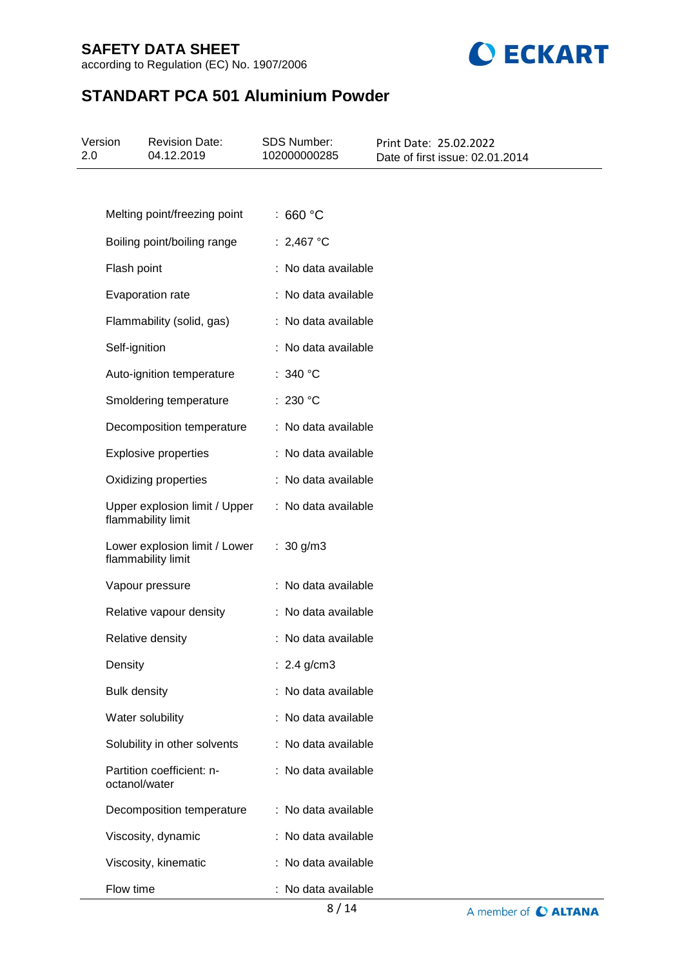according to Regulation (EC) No. 1907/2006



# **STANDART PCA 501 Aluminium Powder**

| Version<br>2.0 | <b>Revision Date:</b><br>04.12.2019                 | <b>SDS Number:</b><br>102000000285 | Print Date: 25.02.2022<br>Date of first issue: 02.01.2014 |
|----------------|-----------------------------------------------------|------------------------------------|-----------------------------------------------------------|
|                |                                                     |                                    |                                                           |
|                | Melting point/freezing point                        | :660 °C                            |                                                           |
|                | Boiling point/boiling range                         | : 2,467 °C                         |                                                           |
|                | Flash point                                         | : No data available                |                                                           |
|                | Evaporation rate                                    | : No data available                |                                                           |
|                | Flammability (solid, gas)                           | : No data available                |                                                           |
|                | Self-ignition                                       | : No data available                |                                                           |
|                | Auto-ignition temperature                           | : 340 $^{\circ}$ C                 |                                                           |
|                | Smoldering temperature                              | : 230 °C                           |                                                           |
|                | Decomposition temperature                           | : No data available                |                                                           |
|                | <b>Explosive properties</b>                         | : No data available                |                                                           |
|                | Oxidizing properties                                | : No data available                |                                                           |
|                | Upper explosion limit / Upper<br>flammability limit | : No data available                |                                                           |
|                | Lower explosion limit / Lower<br>flammability limit | : $30 g/m3$                        |                                                           |
|                | Vapour pressure                                     | : No data available                |                                                           |
|                | Relative vapour density                             | : No data available                |                                                           |
|                | Relative density                                    | : No data available                |                                                           |
|                | Density                                             | : $2.4$ g/cm3                      |                                                           |
|                | <b>Bulk density</b>                                 | : No data available                |                                                           |
|                | Water solubility                                    | : No data available                |                                                           |
|                | Solubility in other solvents                        | : No data available                |                                                           |
|                | Partition coefficient: n-<br>octanol/water          | : No data available                |                                                           |
|                | Decomposition temperature                           | : No data available                |                                                           |
|                | Viscosity, dynamic                                  | : No data available                |                                                           |
|                | Viscosity, kinematic                                | : No data available                |                                                           |
|                | Flow time                                           | : No data available                |                                                           |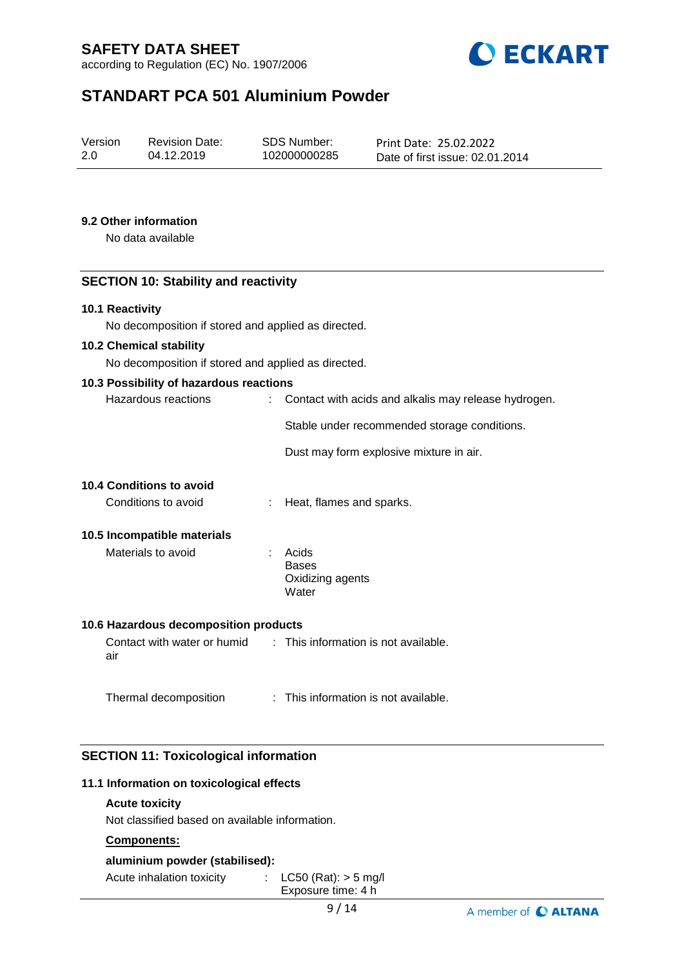according to Regulation (EC) No. 1907/2006



# **STANDART PCA 501 Aluminium Powder**

| Version | <b>Revision Date:</b> | SDS Number:  | Print Date: 25.02.2022          |
|---------|-----------------------|--------------|---------------------------------|
| 2.0     | 04.12.2019            | 102000000285 |                                 |
|         |                       |              | Date of first issue: 02.01.2014 |

#### **9.2 Other information**

No data available

### **SECTION 10: Stability and reactivity**

#### **10.1 Reactivity**

No decomposition if stored and applied as directed.

#### **10.2 Chemical stability**

No decomposition if stored and applied as directed.

#### **10.3 Possibility of hazardous reactions**

| Hazardous reactions | : Contact with acids and alkalis may release hydrogen. |
|---------------------|--------------------------------------------------------|
|                     | Stable under recommended storage conditions.           |
|                     | Dust may form explosive mixture in air.                |

#### **10.4 Conditions to avoid**

Conditions to avoid : Heat, flames and sparks.

#### **10.5 Incompatible materials**

Materials to avoid **:** Acids Bases Oxidizing agents **Water** 

#### **10.6 Hazardous decomposition products**

Contact with water or humid air : This information is not available.

Thermal decomposition : This information is not available.

#### **SECTION 11: Toxicological information**

#### **11.1 Information on toxicological effects**

### **Acute toxicity**

Not classified based on available information.

## **Components:**

#### **aluminium powder (stabilised):**

Acute inhalation toxicity : LC50 (Rat): > 5 mg/l Exposure time: 4 h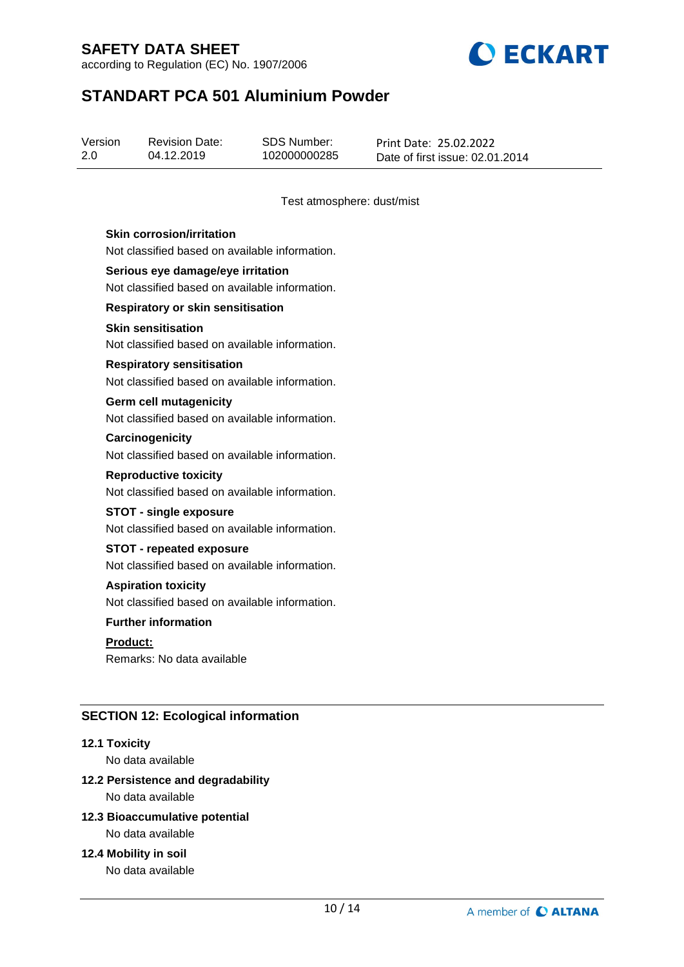according to Regulation (EC) No. 1907/2006



# **STANDART PCA 501 Aluminium Powder**

| Version | <b>Revision Date:</b> | SDS Number:  | Print Date: 25.02.2022          |
|---------|-----------------------|--------------|---------------------------------|
| 2.0     | 04.12.2019            | 102000000285 | Date of first issue: 02.01.2014 |

Test atmosphere: dust/mist

#### **Skin corrosion/irritation**

Not classified based on available information.

#### **Serious eye damage/eye irritation** Not classified based on available information.

**Respiratory or skin sensitisation**

#### **Skin sensitisation**

Not classified based on available information.

#### **Respiratory sensitisation**

Not classified based on available information.

#### **Germ cell mutagenicity**

Not classified based on available information.

## **Carcinogenicity**

Not classified based on available information.

#### **Reproductive toxicity**

Not classified based on available information.

#### **STOT - single exposure**

Not classified based on available information.

#### **STOT - repeated exposure**

Not classified based on available information.

#### **Aspiration toxicity**

Not classified based on available information.

#### **Further information**

**Product:**

Remarks: No data available

#### **SECTION 12: Ecological information**

#### **12.1 Toxicity**

No data available

## **12.2 Persistence and degradability**

No data available

## **12.3 Bioaccumulative potential**

No data available

#### **12.4 Mobility in soil**

No data available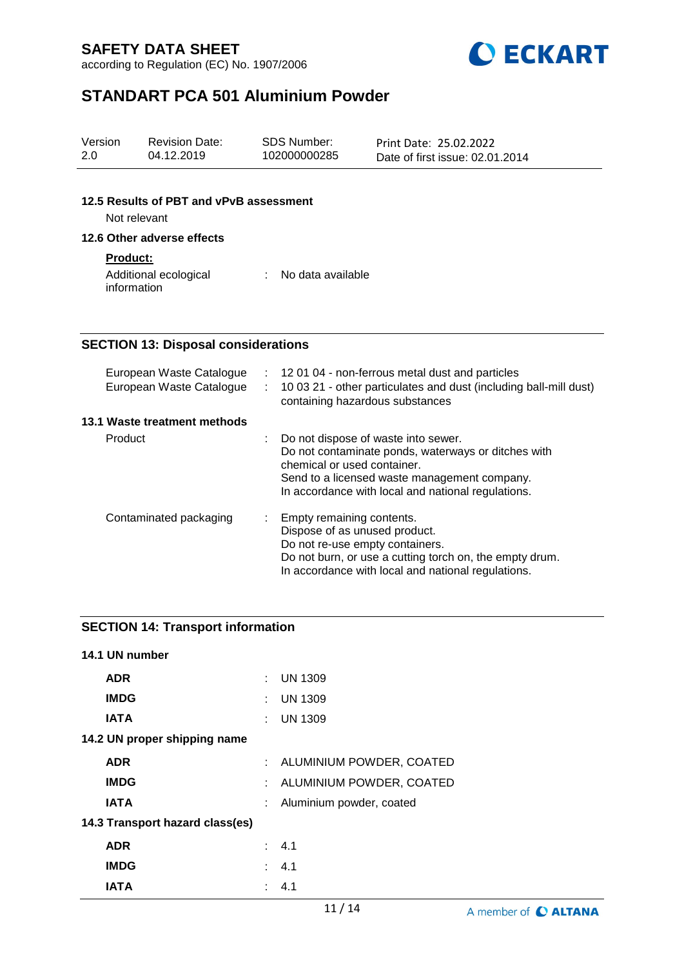according to Regulation (EC) No. 1907/2006



# **STANDART PCA 501 Aluminium Powder**

| Version<br>2.0 | <b>Revision Date:</b><br>04.12.2019                     |    | <b>SDS Number:</b><br>102000000285                                                            | Print Date: 25.02.2022<br>Date of first issue: 02.01.2014                                                                                                 |
|----------------|---------------------------------------------------------|----|-----------------------------------------------------------------------------------------------|-----------------------------------------------------------------------------------------------------------------------------------------------------------|
|                | 12.5 Results of PBT and vPvB assessment<br>Not relevant |    |                                                                                               |                                                                                                                                                           |
|                | 12.6 Other adverse effects                              |    |                                                                                               |                                                                                                                                                           |
|                | <b>Product:</b><br>Additional ecological<br>information |    | No data available                                                                             |                                                                                                                                                           |
|                | <b>SECTION 13: Disposal considerations</b>              |    |                                                                                               |                                                                                                                                                           |
|                | European Waste Catalogue<br>European Waste Catalogue    | ÷. | containing hazardous substances                                                               | : 12 01 04 - non-ferrous metal dust and particles<br>10 03 21 - other particulates and dust (including ball-mill dust)                                    |
|                | 13.1 Waste treatment methods                            |    |                                                                                               |                                                                                                                                                           |
|                | Product                                                 |    | Do not dispose of waste into sewer.<br>chemical or used container.                            | Do not contaminate ponds, waterways or ditches with<br>Send to a licensed waste management company.<br>In accordance with local and national regulations. |
|                | Contaminated packaging                                  |    | Empty remaining contents.<br>Dispose of as unused product.<br>Do not re-use empty containers. |                                                                                                                                                           |

Do not burn, or use a cutting torch on, the empty drum. In accordance with local and national regulations.

## **SECTION 14: Transport information**

| 14.1 UN number                  |    |                            |
|---------------------------------|----|----------------------------|
| <b>ADR</b>                      | ÷. | <b>UN 1309</b>             |
| <b>IMDG</b>                     | ÷. | <b>UN 1309</b>             |
| <b>IATA</b>                     | ÷. | <b>UN 1309</b>             |
| 14.2 UN proper shipping name    |    |                            |
| <b>ADR</b>                      |    | : ALUMINIUM POWDER, COATED |
| <b>IMDG</b>                     |    | : ALUMINIUM POWDER, COATED |
| <b>IATA</b>                     |    | Aluminium powder, coated   |
| 14.3 Transport hazard class(es) |    |                            |
| <b>ADR</b>                      |    | $\therefore$ 4.1           |
| <b>IMDG</b>                     |    | : 4.1                      |
| IATA                            | ÷  | 4.1                        |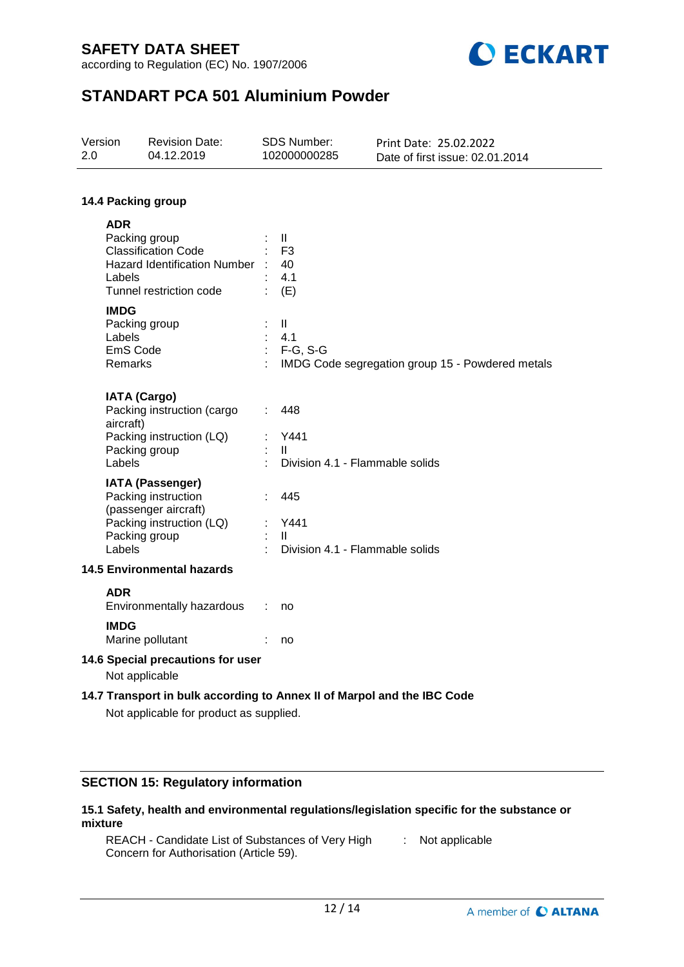according to Regulation (EC) No. 1907/2006



# **STANDART PCA 501 Aluminium Powder**

| Version<br>2.0                                                                                                     |                                                                                                                                                                                                      | <b>Revision Date:</b><br>04.12.2019                                                                |  | <b>SDS Number:</b><br>102000000285                                                                                           | Print Date: 25.02.2022<br>Date of first issue: 02.01.2014 |  |  |
|--------------------------------------------------------------------------------------------------------------------|------------------------------------------------------------------------------------------------------------------------------------------------------------------------------------------------------|----------------------------------------------------------------------------------------------------|--|------------------------------------------------------------------------------------------------------------------------------|-----------------------------------------------------------|--|--|
| 14.4 Packing group                                                                                                 |                                                                                                                                                                                                      |                                                                                                    |  |                                                                                                                              |                                                           |  |  |
|                                                                                                                    | <b>ADR</b><br>Packing group<br><b>Classification Code</b><br>Hazard Identification Number : 40<br>Labels<br>Tunnel restriction code<br><b>IMDG</b><br>Packing group<br>Labels<br>EmS Code<br>Remarks |                                                                                                    |  | $\mathbf{H}$<br>F <sub>3</sub><br>4.1<br>(E)<br>Ш<br>4.1<br>$:$ F-G, S-G<br>IMDG Code segregation group 15 - Powdered metals |                                                           |  |  |
|                                                                                                                    | <b>IATA (Cargo)</b><br>aircraft)<br>Packing group<br>Labels                                                                                                                                          | Packing instruction (cargo<br>Packing instruction (LQ)                                             |  | 448<br>Y441<br>$\mathbf{H}$<br>Division 4.1 - Flammable solids                                                               |                                                           |  |  |
|                                                                                                                    | Packing group<br>Labels                                                                                                                                                                              | <b>IATA (Passenger)</b><br>Packing instruction<br>(passenger aircraft)<br>Packing instruction (LQ) |  | 445<br>Y441<br>$\mathbf{H}$<br>Division 4.1 - Flammable solids                                                               |                                                           |  |  |
| <b>14.5 Environmental hazards</b>                                                                                  |                                                                                                                                                                                                      |                                                                                                    |  |                                                                                                                              |                                                           |  |  |
|                                                                                                                    | <b>ADR</b><br><b>IMDG</b>                                                                                                                                                                            | Environmentally hazardous<br>Marine pollutant                                                      |  | no<br>no                                                                                                                     |                                                           |  |  |
| 14.6 Special precautions for user<br>Not applicable                                                                |                                                                                                                                                                                                      |                                                                                                    |  |                                                                                                                              |                                                           |  |  |
| 14.7 Transport in bulk according to Annex II of Marpol and the IBC Code<br>Not applicable for product as supplied. |                                                                                                                                                                                                      |                                                                                                    |  |                                                                                                                              |                                                           |  |  |

## **SECTION 15: Regulatory information**

#### **15.1 Safety, health and environmental regulations/legislation specific for the substance or mixture**

REACH - Candidate List of Substances of Very High Concern for Authorisation (Article 59). : Not applicable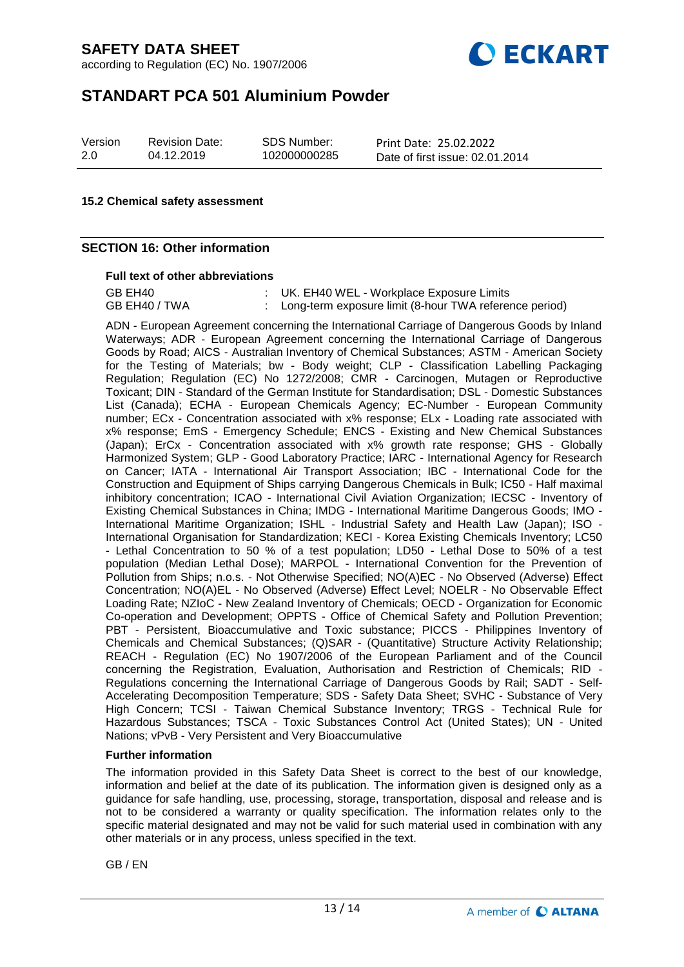according to Regulation (EC) No. 1907/2006



# **STANDART PCA 501 Aluminium Powder**

| Version | <b>Revision Da</b> |
|---------|--------------------|
| 2.0     | 04.12.2019         |

sion Date:

SDS Number: 102000000285

Print Date: 25.02.2022 Date of first issue: 02.01.2014

#### **15.2 Chemical safety assessment**

#### **SECTION 16: Other information**

#### **Full text of other abbreviations**

GB EH40 : UK. EH40 WEL - Workplace Exposure Limits GB EH40 / TWA : Long-term exposure limit (8-hour TWA reference period)

ADN - European Agreement concerning the International Carriage of Dangerous Goods by Inland Waterways; ADR - European Agreement concerning the International Carriage of Dangerous Goods by Road; AICS - Australian Inventory of Chemical Substances; ASTM - American Society for the Testing of Materials; bw - Body weight; CLP - Classification Labelling Packaging Regulation; Regulation (EC) No 1272/2008; CMR - Carcinogen, Mutagen or Reproductive Toxicant; DIN - Standard of the German Institute for Standardisation; DSL - Domestic Substances List (Canada); ECHA - European Chemicals Agency; EC-Number - European Community number; ECx - Concentration associated with x% response; ELx - Loading rate associated with x% response; EmS - Emergency Schedule; ENCS - Existing and New Chemical Substances (Japan); ErCx - Concentration associated with x% growth rate response; GHS - Globally Harmonized System; GLP - Good Laboratory Practice; IARC - International Agency for Research on Cancer; IATA - International Air Transport Association; IBC - International Code for the Construction and Equipment of Ships carrying Dangerous Chemicals in Bulk; IC50 - Half maximal inhibitory concentration; ICAO - International Civil Aviation Organization; IECSC - Inventory of Existing Chemical Substances in China; IMDG - International Maritime Dangerous Goods; IMO - International Maritime Organization; ISHL - Industrial Safety and Health Law (Japan); ISO - International Organisation for Standardization; KECI - Korea Existing Chemicals Inventory; LC50 - Lethal Concentration to 50 % of a test population; LD50 - Lethal Dose to 50% of a test population (Median Lethal Dose); MARPOL - International Convention for the Prevention of Pollution from Ships; n.o.s. - Not Otherwise Specified; NO(A)EC - No Observed (Adverse) Effect Concentration; NO(A)EL - No Observed (Adverse) Effect Level; NOELR - No Observable Effect Loading Rate; NZIoC - New Zealand Inventory of Chemicals; OECD - Organization for Economic Co-operation and Development; OPPTS - Office of Chemical Safety and Pollution Prevention; PBT - Persistent, Bioaccumulative and Toxic substance; PICCS - Philippines Inventory of Chemicals and Chemical Substances; (Q)SAR - (Quantitative) Structure Activity Relationship; REACH - Regulation (EC) No 1907/2006 of the European Parliament and of the Council concerning the Registration, Evaluation, Authorisation and Restriction of Chemicals; RID - Regulations concerning the International Carriage of Dangerous Goods by Rail; SADT - Self-Accelerating Decomposition Temperature; SDS - Safety Data Sheet; SVHC - Substance of Very High Concern; TCSI - Taiwan Chemical Substance Inventory; TRGS - Technical Rule for Hazardous Substances; TSCA - Toxic Substances Control Act (United States); UN - United Nations; vPvB - Very Persistent and Very Bioaccumulative

#### **Further information**

The information provided in this Safety Data Sheet is correct to the best of our knowledge, information and belief at the date of its publication. The information given is designed only as a guidance for safe handling, use, processing, storage, transportation, disposal and release and is not to be considered a warranty or quality specification. The information relates only to the specific material designated and may not be valid for such material used in combination with any other materials or in any process, unless specified in the text.

GB / EN